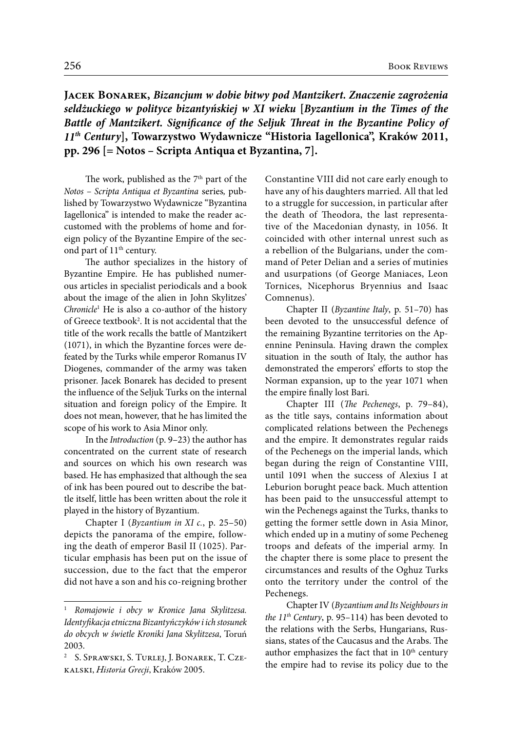**Jacek Bonarek,** *Bizancjum w dobie bitwy pod Mantzikert. Znaczenie zagrożenia seldżuckiego w polityce bizantyńskiej w XI wieku* **[***Byzantium in the Times of the Battle of Mantzikert. Significance of the Seljuk Threat in the Byzantine Policy of 11th Century***], Towarzystwo Wydawnicze "Historia Iagellonica", Kraków 2011, pp. 296 [= Notos – Scripta Antiqua et Byzantina, 7].** 

The work, published as the  $7<sup>th</sup>$  part of the *Notos – Scripta Antiqua et Byzantina* series*,* published by Towarzystwo Wydawnicze "Byzantina Iagellonica" is intended to make the reader accustomed with the problems of home and foreign policy of the Byzantine Empire of the second part of 11<sup>th</sup> century.

The author specializes in the history of Byzantine Empire. He has published numerous articles in specialist periodicals and a book about the image of the alien in John Skylitzes' *Chronicle*<sup>1</sup> He is also a co-author of the history of Greece textbook2 . It is not accidental that the title of the work recalls the battle of Mantzikert (1071), in which the Byzantine forces were defeated by the Turks while emperor Romanus IV Diogenes, commander of the army was taken prisoner. Jacek Bonarek has decided to present the influence of the Seljuk Turks on the internal situation and foreign policy of the Empire. It does not mean, however, that he has limited the scope of his work to Asia Minor only.

In the *Introduction* (p. 9–23) the author has concentrated on the current state of research and sources on which his own research was based. He has emphasized that although the sea of ink has been poured out to describe the battle itself, little has been written about the role it played in the history of Byzantium.

Chapter I (*Byzantium in XI c.*, p. 25–50) depicts the panorama of the empire, following the death of emperor Basil II (1025). Particular emphasis has been put on the issue of succession, due to the fact that the emperor did not have a son and his co-reigning brother

Constantine VIII did not care early enough to have any of his daughters married. All that led to a struggle for succession, in particular after the death of Theodora, the last representative of the Macedonian dynasty, in 1056. It coincided with other internal unrest such as a rebellion of the Bulgarians, under the command of Peter Delian and a series of mutinies and usurpations (of George Maniaces, Leon Tornices, Nicephorus Bryennius and Isaac Comnenus).

Chapter II (*Byzantine Italy*, p. 51–70) has been devoted to the unsuccessful defence of the remaining Byzantine territories on the Apennine Peninsula. Having drawn the complex situation in the south of Italy, the author has demonstrated the emperors' efforts to stop the Norman expansion, up to the year 1071 when the empire finally lost Bari.

Chapter III (*The Pechenegs*, p. 79–84), as the title says, contains information about complicated relations between the Pechenegs and the empire. It demonstrates regular raids of the Pechenegs on the imperial lands, which began during the reign of Constantine VIII, until 1091 when the success of Alexius I at Leburion borught peace back. Much attention has been paid to the unsuccessful attempt to win the Pechenegs against the Turks, thanks to getting the former settle down in Asia Minor, which ended up in a mutiny of some Pecheneg troops and defeats of the imperial army. In the chapter there is some place to present the circumstances and results of the Oghuz Turks onto the territory under the control of the Pechenegs.

Chapter IV (*Byzantium and Its Neighbours in the*  $11^{th}$  *Century*, p. 95–114) has been devoted to the relations with the Serbs, Hungarians, Russians, states of the Caucasus and the Arabs. The author emphasizes the fact that in  $10<sup>th</sup>$  century the empire had to revise its policy due to the

<sup>1</sup> *Romajowie i obcy w Kronice Jana Skylitzesa. Identyfikacja etniczna Bizantyńczyków i ich stosunek do obcych w świetle Kroniki Jana Skylitzesa*, Toruń 2003.

<sup>2</sup> S. Sprawski, S. Turlej, J. Bonarek, T. Czekalski, *Historia Grecji*, Kraków 2005.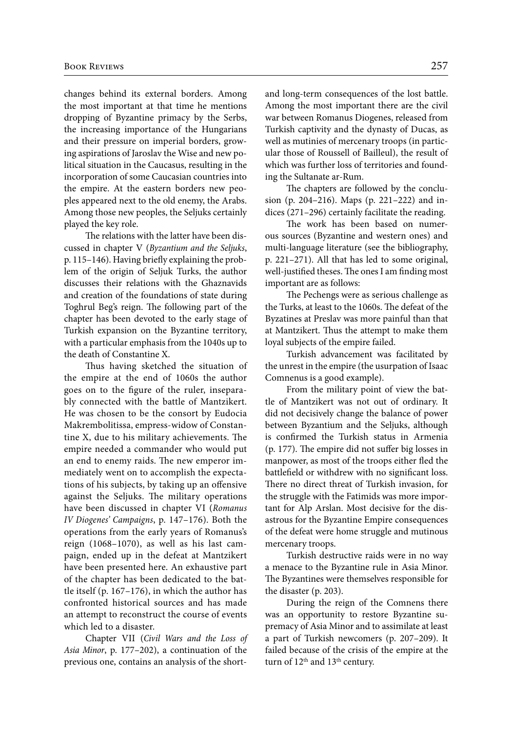changes behind its external borders. Among the most important at that time he mentions dropping of Byzantine primacy by the Serbs, the increasing importance of the Hungarians and their pressure on imperial borders, growing aspirations of Jaroslav the Wise and new political situation in the Caucasus, resulting in the incorporation of some Caucasian countries into the empire. At the eastern borders new peoples appeared next to the old enemy, the Arabs. Among those new peoples, the Seljuks certainly played the key role.

The relations with the latter have been discussed in chapter V (*Byzantium and the Seljuks*, p. 115–146). Having briefly explaining the problem of the origin of Seljuk Turks, the author discusses their relations with the Ghaznavids and creation of the foundations of state during Toghrul Beg's reign. The following part of the chapter has been devoted to the early stage of Turkish expansion on the Byzantine territory, with a particular emphasis from the 1040s up to the death of Constantine X.

Thus having sketched the situation of the empire at the end of 1060s the author goes on to the figure of the ruler, inseparably connected with the battle of Mantzikert. He was chosen to be the consort by Eudocia Makrembolitissa, empress-widow of Constantine X, due to his military achievements. The empire needed a commander who would put an end to enemy raids. The new emperor immediately went on to accomplish the expectations of his subjects, by taking up an offensive against the Seljuks. The military operations have been discussed in chapter VI (*Romanus IV Diogenes' Campaigns*, p. 147–176). Both the operations from the early years of Romanus's reign (1068–1070), as well as his last campaign, ended up in the defeat at Mantzikert have been presented here. An exhaustive part of the chapter has been dedicated to the battle itself (p. 167–176), in which the author has confronted historical sources and has made an attempt to reconstruct the course of events which led to a disaster.

Chapter VII (*Civil Wars and the Loss of Asia Minor*, p. 177–202), a continuation of the previous one, contains an analysis of the shortand long-term consequences of the lost battle. Among the most important there are the civil war between Romanus Diogenes, released from Turkish captivity and the dynasty of Ducas, as well as mutinies of mercenary troops (in particular those of Roussell of Bailleul), the result of which was further loss of territories and founding the Sultanate ar-Rum.

The chapters are followed by the conclusion (p. 204–216). Maps (p. 221–222) and indices (271–296) certainly facilitate the reading.

The work has been based on numerous sources (Byzantine and western ones) and multi-language literature (see the bibliography, p. 221–271). All that has led to some original, well-justified theses. The ones I am finding most important are as follows:

The Pechengs were as serious challenge as the Turks, at least to the 1060s. The defeat of the Byzatines at Preslav was more painful than that at Mantzikert. Thus the attempt to make them loyal subjects of the empire failed.

Turkish advancement was facilitated by the unrest in the empire (the usurpation of Isaac Comnenus is a good example).

From the military point of view the battle of Mantzikert was not out of ordinary. It did not decisively change the balance of power between Byzantium and the Seljuks, although is confirmed the Turkish status in Armenia (p. 177). The empire did not suffer big losses in manpower, as most of the troops either fled the battlefield or withdrew with no significant loss. There no direct threat of Turkish invasion, for the struggle with the Fatimids was more important for Alp Arslan. Most decisive for the disastrous for the Byzantine Empire consequences of the defeat were home struggle and mutinous mercenary troops.

Turkish destructive raids were in no way a menace to the Byzantine rule in Asia Minor. The Byzantines were themselves responsible for the disaster (p. 203).

During the reign of the Comnens there was an opportunity to restore Byzantine supremacy of Asia Minor and to assimilate at least a part of Turkish newcomers (p. 207–209). It failed because of the crisis of the empire at the turn of 12<sup>th</sup> and 13<sup>th</sup> century.